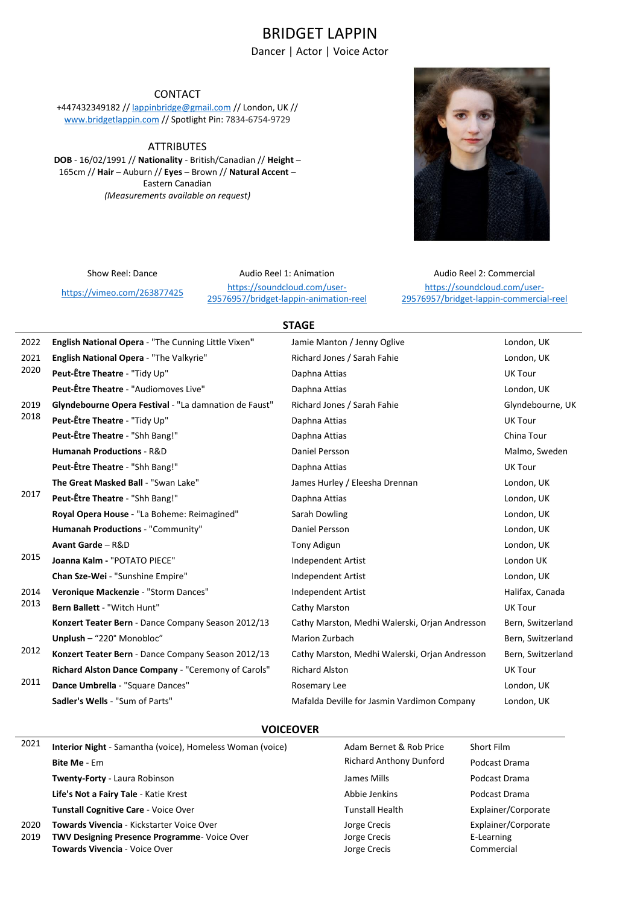# BRIDGET LAPPIN

Dancer | Actor | Voice Actor

# CONTACT

+447432349182 // [lappinbridge@gmail.com](mailto:lappinbridge@gmail.com) // London, UK // [www.bridgetlappin.com](http://www.bridgetlappin.com/) // Spotlight Pin: 7834-6754-9729

**ATTRIBUTES** 

**DOB** - 16/02/1991 // **Nationality** - British/Canadian // **Height** – 165cm // **Hair** – Auburn // **Eyes** – Brown // **Natural Accent** – Eastern Canadian *(Measurements available on request)*



https://vimeo.com/263877425<br>
20576057/bridget lappin animation [29576957/bridget-lappin-animation-reel](https://soundcloud.com/user-29576957/bridget-lappin-animation-reel) 

Show Reel: Dance **Audio Reel 1: Animation** Audio Reel 2: Commercial [https://soundcloud.com/user-](https://soundcloud.com/user-29576957/bridget-lappin-commercial-reel)[29576957/bridget-lappin-commercial-reel](https://soundcloud.com/user-29576957/bridget-lappin-commercial-reel)

# **STAGE**

| 2022         | English National Opera - "The Cunning Little Vixen"   | Jamie Manton / Jenny Oglive                    | London, UK        |
|--------------|-------------------------------------------------------|------------------------------------------------|-------------------|
| 2021<br>2020 | English National Opera - "The Valkyrie"               | Richard Jones / Sarah Fahie                    | London, UK        |
|              | Peut-Être Theatre - "Tidy Up"                         | Daphna Attias                                  | <b>UK Tour</b>    |
|              | Peut-Être Theatre - "Audiomoves Live"                 | Daphna Attias                                  | London, UK        |
| 2019         | Glyndebourne Opera Festival - "La damnation de Faust" | Richard Jones / Sarah Fahie                    | Glyndebourne, UK  |
| 2018         | Peut-Être Theatre - "Tidy Up"                         | Daphna Attias                                  | <b>UK Tour</b>    |
|              | Peut-Être Theatre - "Shh Bang!"                       | Daphna Attias                                  | China Tour        |
|              | Humanah Productions - R&D                             | Daniel Persson                                 | Malmo, Sweden     |
|              | Peut-Être Theatre - "Shh Bang!"                       | Daphna Attias                                  | <b>UK Tour</b>    |
|              | The Great Masked Ball - "Swan Lake"                   | James Hurley / Eleesha Drennan                 | London, UK        |
| 2017         | Peut-Être Theatre - "Shh Bang!"                       | Daphna Attias                                  | London, UK        |
|              | Royal Opera House - "La Boheme: Reimagined"           | Sarah Dowling                                  | London, UK        |
|              | Humanah Productions - "Community"                     | Daniel Persson                                 | London, UK        |
|              | Avant Garde - R&D                                     | Tony Adigun                                    | London, UK        |
| 2015         | Joanna Kalm - "POTATO PIECE"                          | Independent Artist                             | London UK         |
|              | Chan Sze-Wei - "Sunshine Empire"                      | <b>Independent Artist</b>                      | London, UK        |
| 2014         | Veronique Mackenzie - "Storm Dances"                  | <b>Independent Artist</b>                      | Halifax, Canada   |
| 2013         | Bern Ballett - "Witch Hunt"                           | Cathy Marston                                  | <b>UK Tour</b>    |
|              | Konzert Teater Bern - Dance Company Season 2012/13    | Cathy Marston, Medhi Walerski, Orjan Andresson | Bern, Switzerland |
|              | Unplush - "220° Monobloc"                             | Marion Zurbach                                 | Bern, Switzerland |
| 2012         | Konzert Teater Bern - Dance Company Season 2012/13    | Cathy Marston, Medhi Walerski, Orjan Andresson | Bern, Switzerland |
|              | Richard Alston Dance Company - "Ceremony of Carols"   | <b>Richard Alston</b>                          | <b>UK Tour</b>    |
| 2011         | Dance Umbrella - "Square Dances"                      | Rosemary Lee                                   | London, UK        |
|              | Sadler's Wells - "Sum of Parts"                       | Mafalda Deville for Jasmin Vardimon Company    | London, UK        |
|              |                                                       |                                                |                   |

#### **VOICEOVER**

| 2021 | Interior Night - Samantha (voice), Homeless Woman (voice) | Adam Bernet & Rob Price        | Short Film          |
|------|-----------------------------------------------------------|--------------------------------|---------------------|
|      | <b>Bite Me - Em</b>                                       | <b>Richard Anthony Dunford</b> | Podcast Drama       |
|      | Twenty-Forty - Laura Robinson                             | James Mills                    | Podcast Drama       |
|      | Life's Not a Fairy Tale - Katie Krest                     | Abbie Jenkins                  | Podcast Drama       |
|      | <b>Tunstall Cognitive Care - Voice Over</b>               | <b>Tunstall Health</b>         | Explainer/Corporate |
| 2020 | <b>Towards Vivencia - Kickstarter Voice Over</b>          | Jorge Crecis                   | Explainer/Corporate |
| 2019 | <b>TWV Designing Presence Programme- Voice Over</b>       | Jorge Crecis                   | E-Learning          |
|      | Towards Vivencia - Voice Over                             | Jorge Crecis                   | Commercial          |